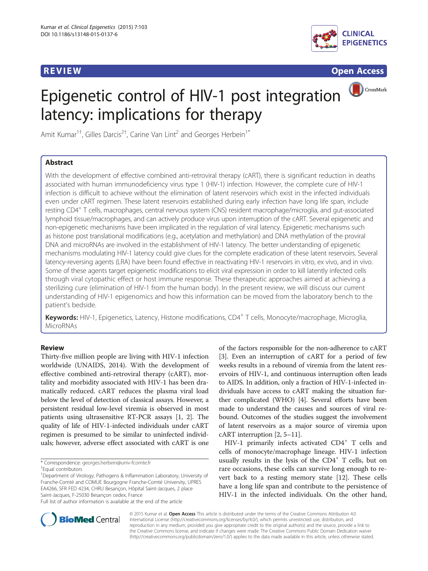

<u>R Evid[en](http://crossmark.crossref.org/dialog/?doi=10.1186/s13148-015-0137-6&domain=pdf)ce and the contract of the contract of the contract of the contract of the contract of the contract of</u>

CrossMark

# Epigenetic control of HIV-1 post integration latency: implications for therapy

Amit Kumar<sup>1†</sup>, Gilles Darcis<sup>2†</sup>, Carine Van Lint<sup>2</sup> and Georges Herbein<sup>1\*</sup>

## **Abstract**

With the development of effective combined anti-retroviral therapy (cART), there is significant reduction in deaths associated with human immunodeficiency virus type 1 (HIV-1) infection. However, the complete cure of HIV-1 infection is difficult to achieve without the elimination of latent reservoirs which exist in the infected individuals even under cART regimen. These latent reservoirs established during early infection have long life span, include resting CD4+ T cells, macrophages, central nervous system (CNS) resident macrophage/microglia, and gut-associated lymphoid tissue/macrophages, and can actively produce virus upon interruption of the cART. Several epigenetic and non-epigenetic mechanisms have been implicated in the regulation of viral latency. Epigenetic mechanisms such as histone post translational modifications (e.g., acetylation and methylation) and DNA methylation of the proviral DNA and microRNAs are involved in the establishment of HIV-1 latency. The better understanding of epigenetic mechanisms modulating HIV-1 latency could give clues for the complete eradication of these latent reservoirs. Several latency-reversing agents (LRA) have been found effective in reactivating HIV-1 reservoirs in vitro, ex vivo, and in vivo. Some of these agents target epigenetic modifications to elicit viral expression in order to kill latently infected cells through viral cytopathic effect or host immune response. These therapeutic approaches aimed at achieving a sterilizing cure (elimination of HIV-1 from the human body). In the present review, we will discuss our current understanding of HIV-1 epigenomics and how this information can be moved from the laboratory bench to the patient's bedside.

Keywords: HIV-1, Epigenetics, Latency, Histone modifications, CD4<sup>+</sup> T cells, Monocyte/macrophage, Microglia, MicroRNAs

Thirty-five million people are living with HIV-1 infection worldwide (UNAIDS, 2014). With the development of effective combined anti-retroviral therapy (cART), mortality and morbidity associated with HIV-1 has been dramatically reduced. cART reduces the plasma viral load below the level of detection of classical assays. However, a persistent residual low-level viremia is observed in most patients using ultrasensitive RT-PCR assays [[1, 2](#page-8-0)]. The quality of life of HIV-1-infected individuals under cART regimen is presumed to be similar to uninfected individuals; however, adverse effect associated with cART is one

\* Correspondence: [georges.herbein@univ-fcomte.fr](mailto:georges.herbein@univ-fcomte.fr) †

<sup>1</sup>Department of Virology, Pathogens & Inflammation Laboratory, University of Franche-Comté and COMUE Bourgogne Franche-Comté University, UPRES EA4266, SFR FED 4234, CHRU Besançon, Hôpital Saint-Jacques, 2 place Saint-Jacques, F-25030 Besançon cedex, France Full list of author information is available at the end of the article

HIV-1 primarily infects activated  $CD4^+$  T cells and cells of monocyte/macrophage lineage. HIV-1 infection usually results in the lysis of the  $CD4^+$  T cells, but on rare occasions, these cells can survive long enough to revert back to a resting memory state [\[12\]](#page-8-0). These cells have a long life span and contribute to the persistence of HIV-1 in the infected individuals. On the other hand,



© 2015 Kumar et al. Open Access This article is distributed under the terms of the Creative Commons Attribution 4.0 International License [\(http://creativecommons.org/licenses/by/4.0/](http://creativecommons.org/licenses/by/4.0/)), which permits unrestricted use, distribution, and reproduction in any medium, provided you give appropriate credit to the original author(s) and the source, provide a link to the Creative Commons license, and indicate if changes were made. The Creative Commons Public Domain Dedication waiver [\(http://creativecommons.org/publicdomain/zero/1.0/](http://creativecommons.org/publicdomain/zero/1.0/)) applies to the data made available in this article, unless otherwise stated.

Equal contributors

of the factors responsible for the non-adherence to cART [[3\]](#page-8-0). Even an interruption of cART for a period of few weeks results in a rebound of viremia from the latent reservoirs of HIV-1, and continuous interruption often leads to AIDS. In addition, only a fraction of HIV-1-infected individuals have access to cART making the situation further complicated (WHO) [\[4](#page-8-0)]. Several efforts have been made to understand the causes and sources of viral rebound. Outcomes of the studies suggest the involvement of latent reservoirs as a major source of viremia upon cART interruption [\[2, 5](#page-8-0)–[11\]](#page-8-0).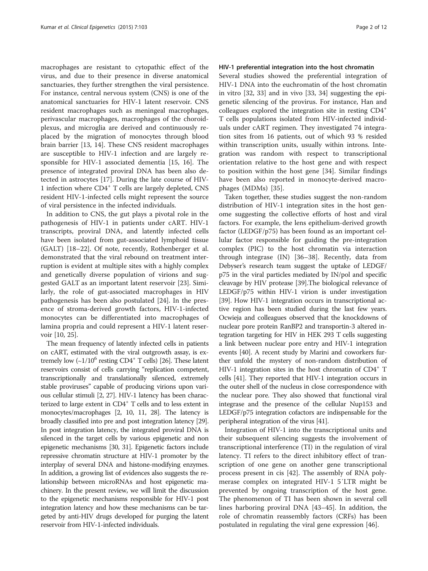macrophages are resistant to cytopathic effect of the virus, and due to their presence in diverse anatomical sanctuaries, they further strengthen the viral persistence. For instance, central nervous system (CNS) is one of the anatomical sanctuaries for HIV-1 latent reservoir. CNS resident macrophages such as meningeal macrophages, perivascular macrophages, macrophages of the choroidplexus, and microglia are derived and continuously replaced by the migration of monocytes through blood brain barrier [[13, 14](#page-8-0)]. These CNS resident macrophages are susceptible to HIV-1 infection and are largely responsible for HIV-1 associated dementia [[15, 16](#page-8-0)]. The presence of integrated proviral DNA has been also detected in astrocytes [\[17](#page-8-0)]. During the late course of HIV-1 infection where CD4<sup>+</sup> T cells are largely depleted, CNS resident HIV-1-infected cells might represent the source of viral persistence in the infected individuals.

In addition to CNS, the gut plays a pivotal role in the pathogenesis of HIV-1 in patients under cART. HIV-1 transcripts, proviral DNA, and latently infected cells have been isolated from gut-associated lymphoid tissue (GALT) [\[18](#page-8-0)–[22\]](#page-8-0). Of note, recently, Rothenberger et al. demonstrated that the viral rebound on treatment interruption is evident at multiple sites with a highly complex and genetically diverse population of virions and suggested GALT as an important latent reservoir [\[23](#page-8-0)]. Similarly, the role of gut-associated macrophages in HIV pathogenesis has been also postulated [[24\]](#page-8-0). In the presence of stroma-derived growth factors, HIV-1-infected monocytes can be differentiated into macrophages of lamina propria and could represent a HIV-1 latent reservoir [[10](#page-8-0), [25](#page-8-0)].

The mean frequency of latently infected cells in patients on cART, estimated with the viral outgrowth assay, is extremely low  $({\sim}1/10^6 \text{ resting CD4}^+ \text{ T cells})$  [\[26\]](#page-8-0). These latent reservoirs consist of cells carrying "replication competent, transcriptionally and translationally silenced, extremely stable proviruses" capable of producing virions upon various cellular stimuli [\[2, 27](#page-8-0)]. HIV-1 latency has been characterized to large extent in CD4<sup>+</sup> T cells and to less extent in monocytes/macrophages [[2](#page-8-0), [10, 11, 28\]](#page-8-0). The latency is broadly classified into pre and post integration latency [\[29](#page-8-0)]. In post integration latency, the integrated proviral DNA is silenced in the target cells by various epigenetic and non epigenetic mechanisms [\[30](#page-8-0), [31](#page-8-0)]. Epigenetic factors include repressive chromatin structure at HIV-1 promoter by the interplay of several DNA and histone-modifying enzymes. In addition, a growing list of evidences also suggests the relationship between microRNAs and host epigenetic machinery. In the present review, we will limit the discussion to the epigenetic mechanisms responsible for HIV-1 post integration latency and how these mechanisms can be targeted by anti-HIV drugs developed for purging the latent reservoir from HIV-1-infected individuals.

#### HIV-1 preferential integration into the host chromatin

Several studies showed the preferential integration of HIV-1 DNA into the euchromatin of the host chromatin in vitro [\[32, 33\]](#page-8-0) and in vivo [[33, 34](#page-8-0)] suggesting the epigenetic silencing of the provirus. For instance, Han and colleagues explored the integration site in resting CD4<sup>+</sup> T cells populations isolated from HIV-infected individuals under cART regimen. They investigated 74 integration sites from 16 patients, out of which 93 % resided within transcription units, usually within introns. Integration was random with respect to transcriptional orientation relative to the host gene and with respect to position within the host gene [[34](#page-8-0)]. Similar findings have been also reported in monocyte-derived macrophages (MDMs) [\[35](#page-8-0)].

Taken together, these studies suggest the non-random distribution of HIV-1 integration sites in the host genome suggesting the collective efforts of host and viral factors. For example, the lens epithelium-derived growth factor (LEDGF/p75) has been found as an important cellular factor responsible for guiding the pre-integration complex (PIC) to the host chromatin via interaction through integrase (IN) [[36](#page-8-0)–[38](#page-8-0)]. Recently, data from Debyser's research team suggest the uptake of LEDGF/ p75 in the viral particles mediated by IN/pol and specific cleavage by HIV protease [\[39](#page-8-0)].The biological relevance of LEDGF/p75 within HIV-1 virion is under investigation [[39](#page-8-0)]. How HIV-1 integration occurs in transcriptional active region has been studied during the last few years. Ocwieja and colleagues observed that the knockdowns of nuclear pore protein RanBP2 and transportin-3 altered integration targeting for HIV in HEK 293 T cells suggesting a link between nuclear pore entry and HIV-1 integration events [\[40\]](#page-8-0). A recent study by Marini and coworkers further unfold the mystery of non-random distribution of HIV-1 integration sites in the host chromatin of CD4<sup>+</sup> T cells [\[41\]](#page-8-0). They reported that HIV-1 integration occurs in the outer shell of the nucleus in close correspondence with the nuclear pore. They also showed that functional viral integrase and the presence of the cellular Nup153 and LEDGF/p75 integration cofactors are indispensable for the peripheral integration of the virus [\[41\]](#page-8-0).

Integration of HIV-1 into the transcriptional units and their subsequent silencing suggests the involvement of transcriptional interference (TI) in the regulation of viral latency. TI refers to the direct inhibitory effect of transcription of one gene on another gene transcriptional process present in cis [\[42](#page-9-0)]. The assembly of RNA polymerase complex on integrated HIV-1 5′LTR might be prevented by ongoing transcription of the host gene. The phenomenon of TI has been shown in several cell lines harboring proviral DNA [\[43](#page-9-0)–[45\]](#page-9-0). In addition, the role of chromatin reassembly factors (CRFs) has been postulated in regulating the viral gene expression [\[46](#page-9-0)].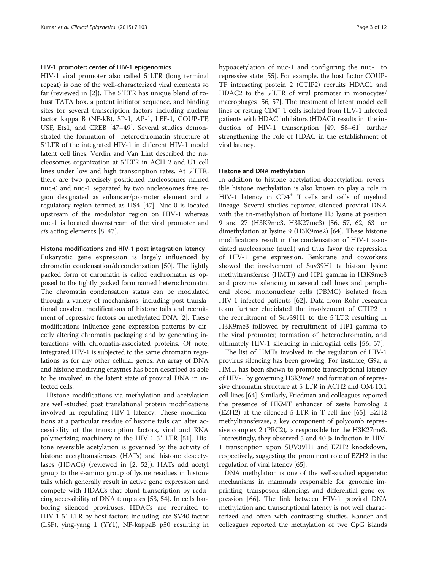#### HIV-1 promoter: center of HIV-1 epigenomics

HIV-1 viral promoter also called 5′LTR (long terminal repeat) is one of the well-characterized viral elements so far (reviewed in [[2\]](#page-8-0)). The 5′LTR has unique blend of robust TATA box, a potent initiator sequence, and binding sites for several transcription factors including nuclear factor kappa B (NF-kB), SP-1, AP-1, LEF-1, COUP-TF, USF, Ets1, and CREB [\[47](#page-9-0)–[49\]](#page-9-0). Several studies demonstrated the formation of heterochromatin structure at 5′LTR of the integrated HIV-1 in different HIV-1 model latent cell lines. Verdin and Van Lint described the nucleosomes organization at 5′LTR in ACH-2 and U1 cell lines under low and high transcription rates. At 5′LTR, there are two precisely positioned nucleosomes named nuc-0 and nuc-1 separated by two nucleosomes free region designated as enhancer/promoter element and a regulatory region termed as HS4 [\[47\]](#page-9-0). Nuc-0 is located upstream of the modulator region on HIV-1 whereas nuc-1 is located downstream of the viral promoter and cis acting elements [[8,](#page-8-0) [47\]](#page-9-0).

#### Histone modifications and HIV-1 post integration latency

Eukaryotic gene expression is largely influenced by chromatin condensation/decondensation [\[50\]](#page-9-0). The lightly packed form of chromatin is called euchromatin as opposed to the tightly packed form named heterochromatin. The chromatin condensation status can be modulated through a variety of mechanisms, including post translational covalent modifications of histone tails and recruitment of repressive factors on methylated DNA [\[2](#page-8-0)]. These modifications influence gene expression patterns by directly altering chromatin packaging and by generating interactions with chromatin-associated proteins. Of note, integrated HIV-1 is subjected to the same chromatin regulations as for any other cellular genes. An array of DNA and histone modifying enzymes has been described as able to be involved in the latent state of proviral DNA in infected cells.

Histone modifications via methylation and acetylation are well-studied post translational protein modifications involved in regulating HIV-1 latency. These modifications at a particular residue of histone tails can alter accessibility of the transcription factors, viral and RNA polymerizing machinery to the HIV-1 5′ LTR [\[51\]](#page-9-0). Histone reversible acetylation is governed by the activity of histone acetyltransferases (HATs) and histone deacetylases (HDACs) (reviewed in [[2,](#page-8-0) [52\]](#page-9-0)). HATs add acetyl group to the  $\epsilon$ -amino group of lysine residues in histone tails which generally result in active gene expression and compete with HDACs that blunt transcription by reducing accessibility of DNA templates [[53](#page-9-0), [54](#page-9-0)]. In cells harboring silenced proviruses, HDACs are recruited to HIV-1 5′ LTR by host factors including late SV40 factor (LSF), ying-yang 1 (YY1), NF-kappaB p50 resulting in hypoacetylation of nuc-1 and configuring the nuc-1 to repressive state [\[55\]](#page-9-0). For example, the host factor COUP-TF interacting protein 2 (CTIP2) recruits HDAC1 and HDAC2 to the 5′LTR of viral promoter in monocytes/ macrophages [[56](#page-9-0), [57\]](#page-9-0). The treatment of latent model cell lines or resting CD4<sup>+</sup> T cells isolated from HIV-1 infected patients with HDAC inhibitors (HDACi) results in the induction of HIV-1 transcription [[49](#page-9-0), [58](#page-9-0)–[61\]](#page-9-0) further strengthening the role of HDAC in the establishment of viral latency.

#### Histone and DNA methylation

In addition to histone acetylation-deacetylation, reversible histone methylation is also known to play a role in HIV-1 latency in CD4<sup>+</sup> T cells and cells of myeloid lineage. Several studies reported silenced proviral DNA with the tri-methylation of histone H3 lysine at position 9 and 27 (H3K9me3, H3K27me3) [\[56, 57, 62](#page-9-0), [63](#page-9-0)] or dimethylation at lysine 9 (H3K9me2) [\[64\]](#page-9-0). These histone modifications result in the condensation of HIV-1 associated nucleosome (nuc1) and thus favor the repression of HIV-1 gene expression. Benkirane and coworkers showed the involvement of Suv39H1 (a histone lysine methyltransferase (HMT)) and HP1 gamma in H3K9me3 and provirus silencing in several cell lines and peripheral blood mononuclear cells (PBMC) isolated from HIV-1-infected patients [\[62](#page-9-0)]. Data from Rohr research team further elucidated the involvement of CTIP2 in the recruitment of Suv39H1 to the 5′LTR resulting in H3K9me3 followed by recruitment of HP1-gamma to the viral promoter, formation of heterochromatin, and ultimately HIV-1 silencing in microglial cells [[56, 57](#page-9-0)].

The list of HMTs involved in the regulation of HIV-1 provirus silencing has been growing. For instance, G9a, a HMT, has been shown to promote transcriptional latency of HIV-1 by governing H3K9me2 and formation of repressive chromatin structure at 5′LTR in ACH2 and OM-10.1 cell lines [\[64\]](#page-9-0). Similarly, Friedman and colleagues reported the presence of HKMT enhancer of zeste homolog 2 (EZH2) at the silenced 5′LTR in T cell line [[65](#page-9-0)]. EZH2 methyltransferase, a key component of polycomb repressive complex 2 (PRC2), is responsible for the H3K27me3. Interestingly, they observed 5 and 40 % induction in HIV-1 transcription upon SUV39H1 and EZH2 knockdown, respectively, suggesting the prominent role of EZH2 in the regulation of viral latency [\[65\]](#page-9-0).

DNA methylation is one of the well-studied epigenetic mechanisms in mammals responsible for genomic imprinting, transposon silencing, and differential gene expression [[66\]](#page-9-0). The link between HIV-1 proviral DNA methylation and transcriptional latency is not well characterized and often with contrasting studies. Kauder and colleagues reported the methylation of two CpG islands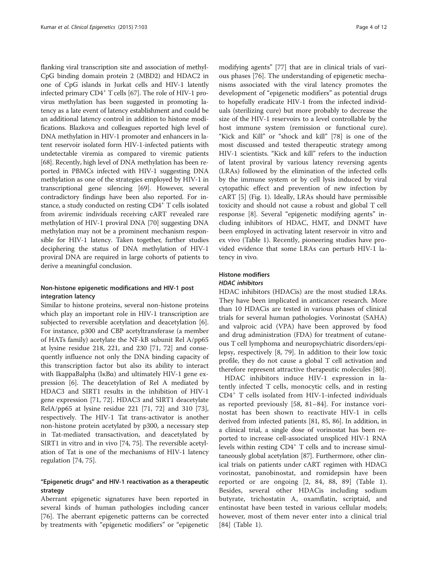flanking viral transcription site and association of methyl-CpG binding domain protein 2 (MBD2) and HDAC2 in one of CpG islands in Jurkat cells and HIV-1 latently infected primary CD4<sup>+</sup> T cells [\[67\]](#page-9-0). The role of HIV-1 provirus methylation has been suggested in promoting latency as a late event of latency establishment and could be an additional latency control in addition to histone modifications. Blazkova and colleagues reported high level of DNA methylation in HIV-1 promoter and enhancers in latent reservoir isolated form HIV-1-infected patients with undetectable viremia as compared to viremic patients [[68](#page-9-0)]. Recently, high level of DNA methylation has been reported in PBMCs infected with HIV-1 suggesting DNA methylation as one of the strategies employed by HIV-1 in transcriptional gene silencing [\[69\]](#page-9-0). However, several contradictory findings have been also reported. For instance, a study conducted on resting CD4<sup>+</sup> T cells isolated from aviremic individuals receiving cART revealed rare methylation of HIV-1 proviral DNA [[70](#page-9-0)] suggesting DNA methylation may not be a prominent mechanism responsible for HIV-1 latency. Taken together, further studies deciphering the status of DNA methylation of HIV-1 proviral DNA are required in large cohorts of patients to derive a meaningful conclusion.

#### Non-histone epigenetic modifications and HIV-1 post integration latency

Similar to histone proteins, several non-histone proteins which play an important role in HIV-1 transcription are subjected to reversible acetylation and deacetylation [\[6](#page-8-0)]. For instance, p300 and CBP acetyltransferase (a member of HATs family) acetylate the NF-kB subunit Rel A/pp65 at lysine residue 218, 221, and 230 [[71, 72\]](#page-9-0) and consequently influence not only the DNA binding capacity of this transcription factor but also its ability to interact with IkappaBalpha ( $I \kappa B\alpha$ ) and ultimately HIV-1 gene expression [\[6\]](#page-8-0). The deacetylation of Rel A mediated by HDAC3 and SIRT1 results in the inhibition of HIV-1 gene expression [[71](#page-9-0), [72\]](#page-9-0). HDAC3 and SIRT1 deacetylate RelA/pp65 at lysine residue 221 [\[71, 72](#page-9-0)] and 310 [\[73](#page-9-0)], respectively. The HIV-1 Tat trans-activator is another non-histone protein acetylated by p300, a necessary step in Tat-mediated transactivation, and deacetylated by SIRT1 in vitro and in vivo [[74](#page-9-0), [75](#page-9-0)]. The reversible acetylation of Tat is one of the mechanisms of HIV-1 latency regulation [\[74, 75\]](#page-9-0).

### "Epigenetic drugs" and HIV-1 reactivation as a therapeutic strategy

Aberrant epigenetic signatures have been reported in several kinds of human pathologies including cancer [[76\]](#page-9-0). The aberrant epigenetic patterns can be corrected by treatments with "epigenetic modifiers" or "epigenetic

modifying agents" [\[77\]](#page-9-0) that are in clinical trials of various phases [[76\]](#page-9-0). The understanding of epigenetic mechanisms associated with the viral latency promotes the development of "epigenetic modifiers" as potential drugs to hopefully eradicate HIV-1 from the infected individuals (sterilizing cure) but more probably to decrease the size of the HIV-1 reservoirs to a level controllable by the host immune system (remission or functional cure). "Kick and Kill" or "shock and kill" [[78\]](#page-9-0) is one of the most discussed and tested therapeutic strategy among HIV-1 scientists. "Kick and kill" refers to the induction of latent proviral by various latency reversing agents (LRAs) followed by the elimination of the infected cells by the immune system or by cell lysis induced by viral cytopathic effect and prevention of new infection by cART [\[5\]](#page-8-0) (Fig. [1\)](#page-4-0). Ideally, LRAs should have permissible toxicity and should not cause a robust and global T cell response [\[8](#page-8-0)]. Several "epigenetic modifying agents" including inhibitors of HDAC, HMT, and DNMT have been employed in activating latent reservoir in vitro and ex vivo (Table [1](#page-5-0)). Recently, pioneering studies have provided evidence that some LRAs can perturb HIV-1 latency in vivo.

## Histone modifiers

#### HDAC inhibitors

HDAC inhibitors (HDACis) are the most studied LRAs. They have been implicated in anticancer research. More than 10 HDACis are tested in various phases of clinical trials for several human pathologies. Vorinostat (SAHA) and valproic acid (VPA) have been approved by food and drug administration (FDA) for treatment of cutaneous T cell lymphoma and neuropsychiatric disorders/epilepsy, respectively [[8](#page-8-0), [79](#page-9-0)]. In addition to their low toxic profile, they do not cause a global T cell activation and therefore represent attractive therapeutic molecules [\[80](#page-9-0)].

HDAC inhibitors induce HIV-1 expression in latently infected T cells, monocytic cells, and in resting CD4<sup>+</sup> T cells isolated from HIV-1-infected individuals as reported previously [\[58](#page-9-0), [81](#page-9-0)–[84](#page-9-0)]. For instance vorinostat has been shown to reactivate HIV-1 in cells derived from infected patients [[81](#page-9-0), [85](#page-9-0), [86](#page-9-0)]. In addition, in a clinical trial, a single dose of vorinostat has been reported to increase cell-associated unspliced HIV-1 RNA levels within resting CD4<sup>+</sup> T cells and to increase simultaneously global acetylation [[87](#page-9-0)]. Furthermore, other clinical trials on patients under cART regimen with HDACi vorinostat, panobinostat, and romidepsin have been reported or are ongoing [[2,](#page-8-0) [84, 88](#page-9-0), [89](#page-9-0)] (Table [1](#page-5-0)). Besides, several other HDACis including sodium butyrate, trichostatin A, oxamflatin, scriptaid, and entinostat have been tested in various cellular models; however, most of them never enter into a clinical trial [[84\]](#page-9-0) (Table [1\)](#page-5-0).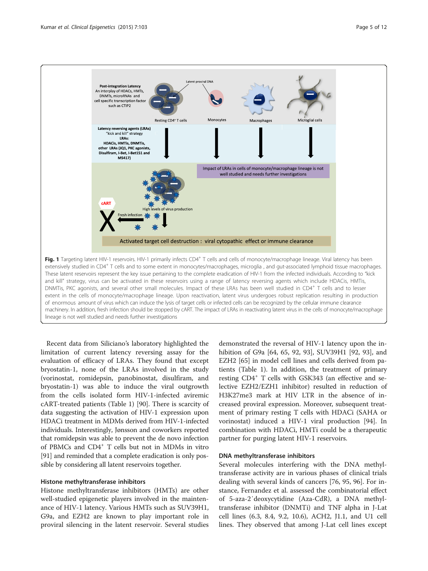<span id="page-4-0"></span>

Recent data from Siliciano's laboratory highlighted the limitation of current latency reversing assay for the evaluation of efficacy of LRAs. They found that except bryostatin-1, none of the LRAs involved in the study (vorinostat, romidepsin, panobinostat, disulfiram, and bryostatin-1) was able to induce the viral outgrowth from the cells isolated form HIV-1-infected aviremic cART-treated patients (Table [1\)](#page-5-0) [\[90](#page-9-0)]. There is scarcity of data suggesting the activation of HIV-1 expression upon HDACi treatment in MDMs derived from HIV-1-infected individuals. Interestingly, Jønsson and coworkers reported that romidepsin was able to prevent the de novo infection of PBMCs and CD4+ T cells but not in MDMs in vitro [[91](#page-10-0)] and reminded that a complete eradication is only possible by considering all latent reservoirs together.

#### Histone methyltransferase inhibitors

Histone methyltransferase inhibitors (HMTs) are other well-studied epigenetic players involved in the maintenance of HIV-1 latency. Various HMTs such as SUV39H1, G9a, and EZH2 are known to play important role in proviral silencing in the latent reservoir. Several studies

demonstrated the reversal of HIV-1 latency upon the inhibition of G9a [\[64](#page-9-0), [65,](#page-9-0) [92](#page-10-0), [93\]](#page-10-0), SUV39H1 [\[92, 93\]](#page-10-0), and EZH2 [\[65](#page-9-0)] in model cell lines and cells derived from patients (Table [1](#page-5-0)). In addition, the treatment of primary resting CD4<sup>+</sup> T cells with GSK343 (an effective and selective EZH2/EZH1 inhibitor) resulted in reduction of H3K27me3 mark at HIV LTR in the absence of increased proviral expression. Moreover, subsequent treatment of primary resting T cells with HDACi (SAHA or vorinostat) induced a HIV-1 viral production [\[94](#page-10-0)]. In combination with HDACi, HMTi could be a therapeutic partner for purging latent HIV-1 reservoirs.

#### DNA methyltransferase inhibitors

Several molecules interfering with the DNA methyltransferase activity are in various phases of clinical trials dealing with several kinds of cancers [[76,](#page-9-0) [95, 96\]](#page-10-0). For instance, Fernandez et al. assessed the combinatorial effect of 5-aza-2′deoxycytidine (Aza-CdR), a DNA methyltransferase inhibitor (DNMTi) and TNF alpha in J-Lat cell lines (6.3, 8.4, 9.2, 10.6), ACH2, J1.1, and U1 cell lines. They observed that among J-Lat cell lines except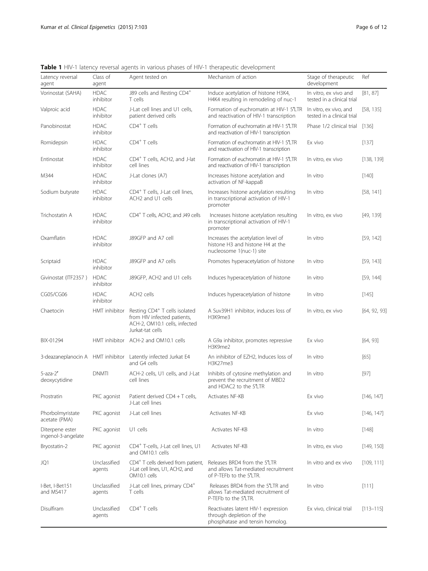| Latency reversal<br>agent             | Class of<br>agent        | Agent tested on                                                                                                               | Mechanism of action                                                                                | Stage of therapeutic<br>development                  | Ref           |
|---------------------------------------|--------------------------|-------------------------------------------------------------------------------------------------------------------------------|----------------------------------------------------------------------------------------------------|------------------------------------------------------|---------------|
| Vorinostat (SAHA)                     | <b>HDAC</b><br>inhibitor | J89 cells and Resting CD4 <sup>+</sup><br>T cells                                                                             | Induce acetylation of histone H3K4,<br>H4K4 resulting in remodeling of nuc-1                       | In vitro, ex vivo and<br>tested in a clinical trial  | [81, 87]      |
| Valproic acid                         | <b>HDAC</b><br>inhibitor | J-Lat cell lines and U1 cells,<br>patient derived cells                                                                       | Formation of euchromatin at HIV-1 5'LTR<br>and reactivation of HIV-1 transcription                 | In vitro, ex vivo, and<br>tested in a clinical trial | [58, 135]     |
| Panobinostat                          | <b>HDAC</b><br>inhibitor | $CD4^+$ T cells                                                                                                               | Formation of euchromatin at HIV-1 5'LTR<br>and reactivation of HIV-1 transcription                 | Phase 1/2 clinical trial                             | [136]         |
| Romidepsin                            | <b>HDAC</b><br>inhibitor | $CD4+$ T cells                                                                                                                | Formation of euchromatin at HIV-1 5'LTR<br>and reactivation of HIV-1 transcription                 | Ex vivo                                              | [137]         |
| Entinostat                            | <b>HDAC</b><br>inhibitor | CD4 <sup>+</sup> T cells, ACH2, and J-lat<br>cell lines                                                                       | Formation of euchromatin at HIV-1 5'LTR<br>and reactivation of HIV-1 transcription                 | In vitro, ex vivo                                    | [138, 139]    |
| M344                                  | <b>HDAC</b><br>inhibitor | J-Lat clones (A7)                                                                                                             | Increases histone acetylation and<br>activation of NF-kappaB                                       | In vitro                                             | $[140]$       |
| Sodium butyrate                       | <b>HDAC</b><br>inhibitor | CD4 <sup>+</sup> T cells, J-Lat cell lines,<br>ACH2 and U1 cells                                                              | Increases histone acetylation resulting<br>in transcriptional activation of HIV-1<br>promoter      | In vitro                                             | [58, 141]     |
| Trichostatin A                        | <b>HDAC</b><br>inhibitor | CD4 <sup>+</sup> T cells, ACH2, and J49 cells                                                                                 | Increases histone acetylation resulting<br>in transcriptional activation of HIV-1<br>promoter      | In vitro, ex vivo                                    | [49, 139]     |
| Oxamflatin                            | <b>HDAC</b><br>inhibitor | J89GFP and A7 cell                                                                                                            | Increases the acetylation level of<br>histone H3 and histone H4 at the<br>nucleosome 1(nuc-1) site | In vitro                                             | [59, 142]     |
| Scriptaid                             | <b>HDAC</b><br>inhibitor | J89GFP and A7 cells                                                                                                           | Promotes hyperacetylation of histone                                                               | In vitro                                             | [59, 143]     |
| Givinostat (ITF2357)                  | <b>HDAC</b><br>inhibitor | J89GFP, ACH2 and U1 cells                                                                                                     | Induces hyperacetylation of histone                                                                | In vitro                                             | [59, 144]     |
| CG05/CG06                             | <b>HDAC</b><br>inhibitor | ACH2 cells                                                                                                                    | Induces hyperacetylation of histone                                                                | In vitro                                             | $[145]$       |
| Chaetocin                             | HMT inhibitor            | Resting CD4 <sup>+</sup> T cells isolated<br>from HIV infected patients,<br>ACH-2, OM10.1 cells, infected<br>Jurkat-tat cells | A Suv39H1 inhibitor, induces loss of<br>H3K9me3                                                    | In vitro, ex vivo                                    | [64, 92, 93]  |
| BIX-01294                             |                          | HMT inhibitor ACH-2 and OM10.1 cells                                                                                          | A G9a inhibitor, promotes repressive<br>H3K9me2                                                    | Ex vivo                                              | [64, 93]      |
| 3-deazaneplanocin A HMT inhibitor     |                          | Latently infected Jurkat E4<br>and G4 cells                                                                                   | An inhibitor of EZH2, Induces loss of<br>H3K27me3                                                  | In vitro                                             | [65]          |
| $5$ -aza- $2'$<br>deoxycytidine       | <b>DNMTI</b>             | ACH-2 cells, U1 cells, and J-Lat<br>cell lines                                                                                | Inhibits of cytosine methylation and<br>prevent the recruitment of MBD2<br>and HDAC2 to the 5'LTR  | In vitro                                             | $[97]$        |
| Prostratin                            | PKC agonist              | Patient derived CD4 + T cells,<br>J-Lat cell lines                                                                            | Activates NF-KB                                                                                    | Ex vivo                                              | [146, 147]    |
| Phorbolmyristate<br>acetate (PMA)     | PKC agonist              | J-Lat cell lines                                                                                                              | Activates NF-KB                                                                                    | Ex vivo                                              | [146, 147]    |
| Diterpene ester<br>ingenol-3-angelate | PKC agonist              | U1 cells                                                                                                                      | Activates NF-KB                                                                                    | In vitro                                             | $[148]$       |
| Bryostatin-2                          | PKC agonist              | CD4 <sup>+</sup> T-cells, J-Lat cell lines, U1<br>and OM10.1 cells                                                            | Activates NF-KB                                                                                    | In vitro, ex vivo                                    | [149, 150]    |
| JQ1                                   | Unclassified<br>agents   | CD4 <sup>+</sup> T cells derived from patient,<br>J-Lat cell lines, U1, ACH2, and<br>OM10.1 cells                             | Releases BRD4 from the 5'LTR<br>and allows Tat-mediated recruitment<br>of P-TEFb to the 5'LTR.     | In vitro and ex vivo                                 | [109, 111]    |
| I-Bet, I-Bet151<br>and MS417          | Unclassified<br>agents   | J-Lat cell lines, primary CD4 <sup>+</sup><br>T cells                                                                         | Releases BRD4 from the 5'LTR and<br>allows Tat-mediated recruitment of<br>P-TEFb to the 5'LTR.     | In vitro                                             | [111]         |
| Disulfiram                            | Unclassified<br>agents   | $CD4+$ T cells                                                                                                                | Reactivates latent HIV-1 expression<br>through depletion of the<br>phosphatase and tensin homolog. | Ex vivo, clinical trial                              | $[113 - 115]$ |

<span id="page-5-0"></span>Table 1 HIV-1 latency reversal agents in various phases of HIV-1 therapeutic development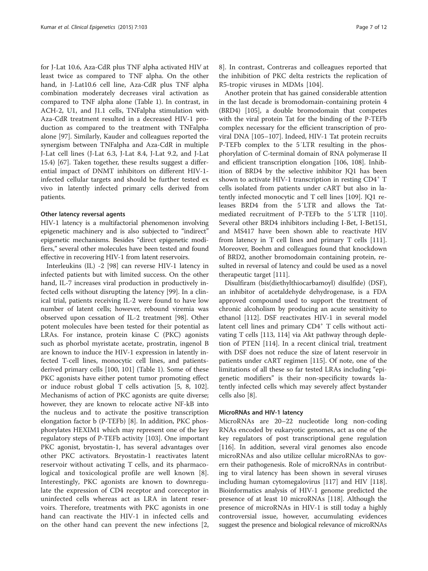for J-Lat 10.6, Aza-CdR plus TNF alpha activated HIV at least twice as compared to TNF alpha. On the other hand, in J-Lat10.6 cell line, Aza-CdR plus TNF alpha combination moderately decreases viral activation as compared to TNF alpha alone (Table [1\)](#page-5-0). In contrast, in ACH-2, U1, and J1.1 cells, TNFalpha stimulation with Aza-CdR treatment resulted in a decreased HIV-1 production as compared to the treatment with TNFalpha alone [[97\]](#page-10-0). Similarly, Kauder and colleagues reported the synergism between TNFalpha and Aza-CdR in multiple J-Lat cell lines (J-Lat 6.3, J-Lat 8.4, J-Lat 9.2, and J-Lat 15.4) [\[67](#page-9-0)]. Taken together, these results suggest a differential impact of DNMT inhibitors on different HIV-1 infected cellular targets and should be further tested ex vivo in latently infected primary cells derived from patients.

#### Other latency reversal agents

HIV-1 latency is a multifactorial phenomenon involving epigenetic machinery and is also subjected to "indirect" epigenetic mechanisms. Besides "direct epigenetic modifiers," several other molecules have been tested and found effective in recovering HIV-1 from latent reservoirs.

Interleukins (IL) -2 [\[98](#page-10-0)] can reverse HIV-1 latency in infected patients but with limited success. On the other hand, IL-7 increases viral production in productively infected cells without disrupting the latency [[99\]](#page-10-0). In a clinical trial, patients receiving IL-2 were found to have low number of latent cells; however, rebound viremia was observed upon cessation of IL-2 treatment [[98](#page-10-0)]. Other potent molecules have been tested for their potential as LRAs. For instance, protein kinase C (PKC) agonists such as phorbol myristate acetate, prostratin, ingenol B are known to induce the HIV-1 expression in latently infected T-cell lines, monocytic cell lines, and patientsderived primary cells [\[100, 101](#page-10-0)] (Table [1\)](#page-5-0). Some of these PKC agonists have either potent tumor promoting effect or induce robust global T cells activation [[5, 8](#page-8-0), [102](#page-10-0)]. Mechanisms of action of PKC agonists are quite diverse; however, they are known to relocate active NF-kB into the nucleus and to activate the positive transcription elongation factor b (P-TEFb) [\[8](#page-8-0)]. In addition, PKC phosphorylates HEXIM1 which may represent one of the key regulatory steps of P-TEFb activity [[103](#page-10-0)]. One important PKC agonist, bryostatin-1, has several advantages over other PKC activators. Bryostatin-1 reactivates latent reservoir without activating T cells, and its pharmacological and toxicological profile are well known [[8](#page-8-0)]. Interestingly, PKC agonists are known to downregulate the expression of CD4 receptor and coreceptor in uninfected cells whereas act as LRA in latent reservoirs. Therefore, treatments with PKC agonists in one hand can reactivate the HIV-1 in infected cells and on the other hand can prevent the new infections [\[2](#page-8-0), [8\]](#page-8-0). In contrast, Contreras and colleagues reported that the inhibition of PKC delta restricts the replication of R5-tropic viruses in MDMs [[104\]](#page-10-0).

Another protein that has gained considerable attention in the last decade is bromodomain-containing protein 4 (BRD4) [\[105\]](#page-10-0), a double bromodomain that competes with the viral protein Tat for the binding of the P-TEFb complex necessary for the efficient transcription of proviral DNA [\[105](#page-10-0)–[107\]](#page-10-0). Indeed, HIV-1 Tat protein recruits P-TEFb complex to the 5′LTR resulting in the phosphorylation of C-terminal domain of RNA polymerase II and efficient transcription elongation [[106, 108\]](#page-10-0). Inhibition of BRD4 by the selective inhibitor JQ1 has been shown to activate HIV-1 transcription in resting  $CD4^+$  T cells isolated from patients under cART but also in latently infected monocytic and T cell lines [\[109\]](#page-10-0). JQ1 releases BRD4 from the 5′LTR and allows the Tatmediated recruitment of P-TEFb to the 5′LTR [[110](#page-10-0)]. Several other BRD4 inhibitors including I-Bet, I-Bet151, and MS417 have been shown able to reactivate HIV from latency in T cell lines and primary T cells [[111](#page-10-0)]. Moreover, Boehm and colleagues found that knockdown of BRD2, another bromodomain containing protein, resulted in reversal of latency and could be used as a novel therapeutic target [\[111](#page-10-0)].

Disulfiram (bis(diethylthiocarbamoyl) disulfide) (DSF), an inhibitor of acetaldehyde dehydrogenase, is a FDA approved compound used to support the treatment of chronic alcoholism by producing an acute sensitivity to ethanol [[112\]](#page-10-0). DSF reactivates HIV-1 in several model latent cell lines and primary CD4<sup>+</sup> T cells without activating T cells [[113, 114\]](#page-10-0) via Akt pathway through depletion of PTEN [\[114\]](#page-10-0). In a recent clinical trial, treatment with DSF does not reduce the size of latent reservoir in patients under cART regimen [[115\]](#page-10-0). Of note, one of the limitations of all these so far tested LRAs including "epigenetic modifiers" is their non-specificity towards latently infected cells which may severely affect bystander cells also [\[8](#page-8-0)].

#### MicroRNAs and HIV-1 latency

MicroRNAs are 20–22 nucleotide long non-coding RNAs encoded by eukaryotic genomes, act as one of the key regulators of post transcriptional gene regulation [[116\]](#page-10-0). In addition, several viral genomes also encode microRNAs and also utilize cellular microRNAs to govern their pathogenesis. Role of microRNAs in contributing to viral latency has been shown in several viruses including human cytomegalovirus [[117\]](#page-10-0) and HIV [[118](#page-10-0)]. Bioinformatics analysis of HIV-1 genome predicted the presence of at least 10 microRNAs [\[118](#page-10-0)]. Although the presence of microRNAs in HIV-1 is still today a highly controversial issue, however, accumulating evidences suggest the presence and biological relevance of microRNAs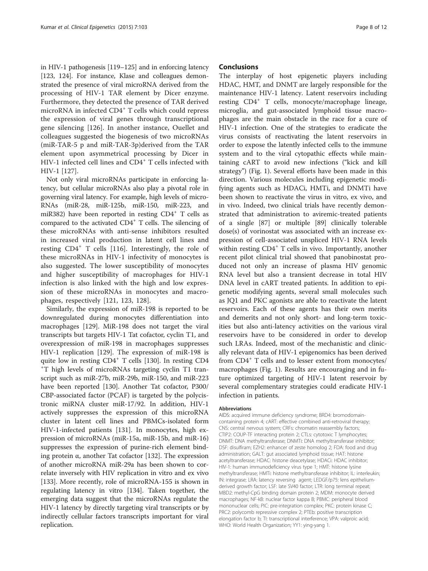in HIV-1 pathogenesis [[119](#page-10-0)–[125](#page-10-0)] and in enforcing latency [[123](#page-10-0), [124](#page-10-0)]. For instance, Klase and colleagues demonstrated the presence of viral microRNA derived from the processing of HIV-1 TAR element by Dicer enzyme. Furthermore, they detected the presence of TAR derived microRNA in infected CD4<sup>+</sup> T cells which could repress the expression of viral genes through transcriptional gene silencing [[126\]](#page-10-0). In another instance, Ouellet and colleagues suggested the biogenesis of two microRNAs (miR-TAR-5 p and miR-TAR-3p)derived from the TAR element upon asymmetrical processing by Dicer in HIV-1 infected cell lines and CD4<sup>+</sup> T cells infected with HIV-1 [[127\]](#page-10-0).

Not only viral microRNAs participate in enforcing latency, but cellular microRNAs also play a pivotal role in governing viral latency. For example, high levels of micro-RNAs (miR-28, miR-125b, miR-150, miR-223, and miR382) have been reported in resting  $CD4^+$  T cells as compared to the activated CD4+ T cells. The silencing of these microRNAs with anti-sense inhibitors resulted in increased viral production in latent cell lines and resting  $CD4^+$  T cells [[116\]](#page-10-0). Interestingly, the role of these microRNAs in HIV-1 infectivity of monocytes is also suggested. The lower susceptibility of monocytes and higher susceptibility of macrophages for HIV-1 infection is also linked with the high and low expression of these microRNAs in monocytes and macrophages, respectively [[121](#page-10-0), [123](#page-10-0), [128\]](#page-10-0).

Similarly, the expression of miR-198 is reported to be downregulated during monocytes differentiation into macrophages [\[129](#page-10-0)]. MiR-198 does not target the viral transcripts but targets HIV-1 Tat cofactor, cyclin T1, and overexpression of miR-198 in macrophages suppresses HIV-1 replication [[129](#page-10-0)]. The expression of miR-198 is quite low in resting CD4<sup>+</sup> T cells [[130\]](#page-10-0). In resting CD4 T high levels of microRNAs targeting cyclin T1 transcript such as miR-27b, miR-29b, miR-150, and miR-223 have been reported [\[130](#page-10-0)]. Another Tat cofactor, P300/ CBP-associated factor (PCAF) is targeted by the polycistronic miRNA cluster miR-17/92. In addition, HIV-1 actively suppresses the expression of this microRNA cluster in latent cell lines and PBMCs-isolated form HIV-1-infected patients [\[131\]](#page-10-0). In monocytes, high expression of microRNAs (miR-15a, miR-15b, and miR-16) suppresses the expression of purine-rich element binding protein α, another Tat cofactor [\[132\]](#page-10-0). The expression of another microRNA miR-29a has been shown to correlate inversely with HIV replication in vitro and ex vivo [[133\]](#page-10-0). More recently, role of microRNA-155 is shown in regulating latency in vitro [[134\]](#page-10-0). Taken together, the emerging data suggest that the microRNAs regulate the HIV-1 latency by directly targeting viral transcripts or by indirectly cellular factors transcripts important for viral replication.

#### **Conclusions**

The interplay of host epigenetic players including HDAC, HMT, and DNMT are largely responsible for the maintenance HIV-1 latency. Latent reservoirs including resting CD4<sup>+</sup> T cells, monocyte/macrophage lineage, microglia, and gut-associated lymphoid tissue macrophages are the main obstacle in the race for a cure of HIV-1 infection. One of the strategies to eradicate the virus consists of reactivating the latent reservoirs in order to expose the latently infected cells to the immune system and to the viral cytopathic effects while maintaining cART to avoid new infections ("kick and kill strategy") (Fig. [1](#page-4-0)). Several efforts have been made in this direction. Various molecules including epigenetic modifying agents such as HDACi, HMTi, and DNMTi have been shown to reactivate the virus in vitro, ex vivo, and in vivo. Indeed, two clinical trials have recently demonstrated that administration to aviremic-treated patients of a single [\[87\]](#page-9-0) or multiple [\[89](#page-9-0)] clinically tolerable dose(s) of vorinostat was associated with an increase expression of cell-associated unspliced HIV-1 RNA levels within resting  $CD4^+$  T cells in vivo. Importantly, another recent pilot clinical trial showed that panobinostat produced not only an increase of plasma HIV genomic RNA level but also a transient decrease in total HIV DNA level in cART treated patients. In addition to epigenetic modifying agents, several small molecules such as JQ1 and PKC agonists are able to reactivate the latent reservoirs. Each of these agents has their own merits and demerits and not only short- and long-term toxicities but also anti-latency activities on the various viral reservoirs have to be considered in order to develop such LRAs. Indeed, most of the mechanistic and clinically relevant data of HIV-1 epigenomics has been derived from CD4<sup>+</sup> T cells and to lesser extent from monocytes/ macrophages (Fig. [1](#page-4-0)). Results are encouraging and in future optimized targeting of HIV-1 latent reservoir by several complementary strategies could eradicate HIV-1 infection in patients.

#### Abbreviations

AIDS: acquired immune deficiency syndrome; BRD4: bromodomaincontaining protein 4; cART: effective combined anti-retroviral therapy; CNS: central nervous system; CRFs: chromatin reassembly factors; CTIP2: COUP-TF interacting protein 2; CTLs: cytotoxic T lymphocytes; DNMT: DNA methyltransferase; DNMTi: DNA methyltransferase inhibitor; DSF: disulfiram; EZH2: enhancer of zeste homolog 2; FDA: food and drug administration; GALT: gut associated lymphoid tissue; HAT: histone acetyltransferase; HDAC: histone deacetylase; HDACi: HDAC inhibitor; HIV-1: human immunodeficiency virus type 1; HMT: histone lysine methyltransferase; HMTi: histone methyltransferase inhibitor; IL: interleukin; IN: integrase; LRA: latency reversing agent; LEDGF/p75: lens epitheliumderived growth factor; LSF: late SV40 factor; LTR: long terminal repeat; MBD2: methyl-CpG binding domain protein 2; MDM: monocyte derived macrophages; NF-kB: nuclear factor kappa B; PBMC: peripheral blood mononuclear cells; PIC: pre-integration complex; PKC: protein kinase C; PRC2: polycomb repressive complex 2; PTEb: positive transcription elongation factor b; TI: transcriptional interference; VPA: valproic acid; WHO: World Health Organization; YY1: ying-yang 1.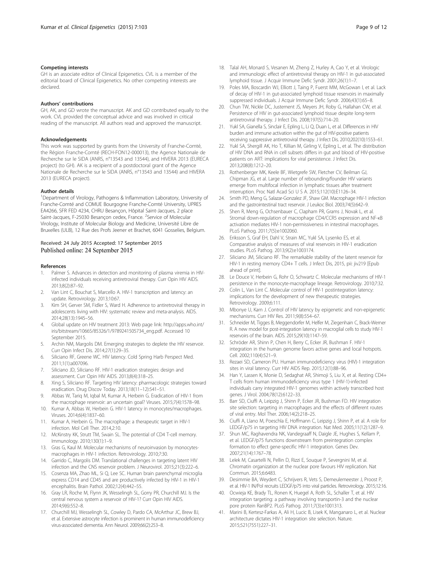#### <span id="page-8-0"></span>Competing interests

GH is an associate editor of Clinical Epigenetics. CVL is a member of the editorial board of Clinical Epigenetics. No other competing interests are declared.

#### Authors' contributions

GH, AK, and GD wrote the manuscript. AK and GD contributed equally to the work. CVL provided the conceptual advice and was involved in critical reading of the manuscript. All authors read and approved the manuscript.

#### Acknowledgements

This work was supported by grants from the University of Franche-Comté, the Région Franche-Comté (RECH-FON12-000013), the Agence Nationale de Recherche sur le SIDA (ANRS, n°13543 and 13544), and HIVERA 2013 (EURECA project) (to GH). AK is a recipient of a postdoctoral grant of the Agence Nationale de Recherche sur le SIDA (ANRS, n°13543 and 13544) and HIVERA 2013 (EURECA project).

#### Author details

<sup>1</sup>Department of Virology, Pathogens & Inflammation Laboratory, University of Franche-Comté and COMUE Bourgogne Franche-Comté University, UPRES EA4266, SFR FED 4234, CHRU Besançon, Hôpital Saint-Jacques, 2 place Saint-Jacques, F-25030 Besançon cedex, France. <sup>2</sup>Service of Molecular Virology, Institute of Molecular Biology and Medicine, Université Libre de Bruxelles (ULB), 12 Rue des Profs Jeener et Brachet, 6041 Gosselies, Belgium.

# Received: 24 July 2015 Accepted: 17 September 2015

#### References

- 1. Palmer S. Advances in detection and monitoring of plasma viremia in HIVinfected individuals receiving antiretroviral therapy. Curr Opin HIV AIDS. 2013;8(2):87–92.
- Van Lint C, Bouchat S, Marcello A. HIV-1 transcription and latency: an update. Retrovirology. 2013;10:67.
- 3. Kim SH, Gerver SM, Fidler S, Ward H. Adherence to antiretroviral therapy in adolescents living with HIV: systematic review and meta-analysis. AIDS. 2014;28(13):1945–56.
- 4. Global update on HIV treatment 2013: Web page link: [http://apps.who.int/](http://apps.who.int/iris/bitstream/10665/85326/1/9789241505734_eng.pdf) [iris/bitstream/10665/85326/1/9789241505734\\_eng.pdf.](http://apps.who.int/iris/bitstream/10665/85326/1/9789241505734_eng.pdf) Accessed 10 September 2015.
- 5. Archin NM, Margolis DM. Emerging strategies to deplete the HIV reservoir. Curr Opin Infect Dis. 2014;27(1):29–35.
- 6. Siliciano RF, Greene WC. HIV latency. Cold Spring Harb Perspect Med. 2011;1(1):a007096.
- 7. Siliciano JD, Siliciano RF. HIV-1 eradication strategies: design and assessment. Curr Opin HIV AIDS. 2013;8(4):318–25.
- 8. Xing S, Siliciano RF. Targeting HIV latency: pharmacologic strategies toward eradication. Drug Discov Today. 2013;18(11–12):541–51.
- 9. Abbas W, Tariq M, Iqbal M, Kumar A, Herbein G. Eradication of HIV-1 from the macrophage reservoir: an uncertain goal? Viruses. 2015;7(4):1578–98.
- 10. Kumar A, Abbas W, Herbein G. HIV-1 latency in monocytes/macrophages. Viruses. 2014;6(4):1837–60.
- 11. Kumar A, Herbein G. The macrophage: a therapeutic target in HIV-1 infection. Mol Cell Ther. 2014,2:10.
- 12. McKinstry KK, Strutt TM, Swain SL. The potential of CD4 T-cell memory. Immunology. 2010;130(1):1–9.
- 13. Gras G, Kaul M. Molecular mechanisms of neuroinvasion by monocytesmacrophages in HIV-1 infection. Retrovirology. 2010;7:30.
- 14. Garrido C, Margolis DM. Translational challenges in targeting latent HIV infection and the CNS reservoir problem. J Neurovirol. 2015;21(3):222–6.
- 15. Cosenza MA, Zhao ML, Si Q, Lee SC. Human brain parenchymal microglia express CD14 and CD45 and are productively infected by HIV-1 in HIV-1 encephalitis. Brain Pathol. 2002;12(4):442–55.
- 16. Gray LR, Roche M, Flynn JK, Wesselingh SL, Gorry PR, Churchill MJ. Is the central nervous system a reservoir of HIV-1? Curr Opin HIV AIDS. 2014;9(6):552–8.
- 17. Churchill MJ, Wesselingh SL, Cowley D, Pardo CA, McArthur JC, Brew BJ, et al. Extensive astrocyte infection is prominent in human immunodeficiency virus-associated dementia. Ann Neurol. 2009;66(2):253–8.
- 18. Talal AH, Monard S, Vesanen M, Zheng Z, Hurley A, Cao Y, et al. Virologic and immunologic effect of antiretroviral therapy on HIV-1 in gut-associated lymphoid tissue. J Acquir Immune Defic Syndr. 2001;26(1):1–7.
- 19. Poles MA, Boscardin WJ, Elliott J, Taing P, Fuerst MM, McGowan I, et al. Lack of decay of HIV-1 in gut-associated lymphoid tissue reservoirs in maximally suppressed individuals. J Acquir Immune Defic Syndr. 2006;43(1):65–8.
- 20. Chun TW, Nickle DC, Justement JS, Meyers JH, Roby G, Hallahan CW, et al. Persistence of HIV in gut-associated lymphoid tissue despite long-term antiretroviral therapy. J Infect Dis. 2008;197(5):714–20.
- 21. Yukl SA, Gianella S, Sinclair E, Epling L, Li Q, Duan L, et al. Differences in HIV burden and immune activation within the gut of HIV-positive patients receiving suppressive antiretroviral therapy. J Infect Dis. 2010;202(10):1553–61.
- 22. Yukl SA, Shergill AK, Ho T, Killian M, Girling V, Epling L, et al. The distribution of HIV DNA and RNA in cell subsets differs in gut and blood of HIV-positive patients on ART: implications for viral persistence. J Infect Dis. 2013;208(8):1212–20.
- 23. Rothenberger MK, Keele BF, Wietgrefe SW, Fletcher CV, Beilman GJ, Chipman JG, et al. Large number of rebounding/founder HIV variants emerge from multifocal infection in lymphatic tissues after treatment interruption. Proc Natl Acad Sci U S A. 2015;112(10):E1126–34.
- 24. Smith PD, Meng G, Salazar-Gonzalez JF, Shaw GM. Macrophage HIV-1 infection and the gastrointestinal tract reservoir. J Leukoc Biol. 2003;74(5):642–9.
- 25. Shen R, Meng G, Ochsenbauer C, Clapham PR, Grams J, Novak L, et al. Stromal down-regulation of macrophage CD4/CCR5 expression and NF-κB activation mediates HIV-1 non-permissiveness in intestinal macrophages. PLoS Pathog. 2011;7(5):e1002060.
- 26. Eriksson S, Graf EH, Dahl V, Strain MC, Yukl SA, Lysenko ES, et al. Comparative analysis of measures of viral reservoirs in HIV-1 eradication studies. PLoS Pathog. 2013;9(2):e1003174.
- 27. Siliciano JM, Siliciano RF. The remarkable stability of the latent reservoir for HIV-1 in resting memory CD4+ T cells. J Infect Dis, 2015, pii: jiv219 [Epub ahead of print].
- 28. Le Douce V, Herbein G, Rohr O, Schwartz C. Molecular mechanisms of HIV-1 persistence in the monocyte-macrophage lineage. Retrovirology. 2010;7:32.
- 29. Colin L, Van Lint C. Molecular control of HIV-1 postintegration latency: implications for the development of new therapeutic strategies. Retrovirology. 2009;6:111.
- 30. Mbonye U, Karn J. Control of HIV latency by epigenetic and non-epigenetic mechanisms. Curr HIV Res. 2011;9(8):554–67.
- 31. Schneider M, Tigges B, Meggendorfer M, Helfer M, Ziegenhain C, Brack-Werner R. A new model for post-integration latency in macroglial cells to study HIV-1 reservoirs of the brain. AIDS. 2015;29(10):1147–59.
- 32. Schröder AR, Shinn P, Chen H, Berry C, Ecker JR, Bushman F. HIV-1 integration in the human genome favors active genes and local hotspots. Cell. 2002;110(4):521–9.
- 33. Rezaei SD, Cameron PU. Human immunodeficiency virus (HIV)-1 integration sites in viral latency. Curr HIV AIDS Rep. 2015;12(1):88–96.
- 34. Han Y, Lassen K, Monie D, Sedaghat AR, Shimoji S, Liu X, et al. Resting CD4+ T cells from human immunodeficiency virus type 1 (HIV-1)-infected individuals carry integrated HIV-1 genomes within actively transcribed host genes. J Virol. 2004;78(12):6122–33.
- 35. Barr SD, Ciuffi A, Leipzig J, Shinn P, Ecker JR, Bushman FD. HIV integration site selection: targeting in macrophages and the effects of different routes of viral entry. Mol Ther. 2006;14(2):218–25.
- 36. Ciuffi A, Llano M, Poeschla E, Hoffmann C, Leipzig J, Shinn P, et al. A role for LEDGF/p75 in targeting HIV DNA integration. Nat Med. 2005;11(12):1287–9.
- 37. Shun MC, Raghavendra NK, Vandegraaff N, Daigle JE, Hughes S, Kellam P, et al. LEDGF/p75 functions downstream from preintegration complex formation to effect gene-specific HIV-1 integration. Genes Dev. 2007;21(14):1767–78.
- 38. Lelek M, Casartelli N, Pellin D, Rizzi E, Souque P, Severgnini M, et al. Chromatin organization at the nuclear pore favours HIV replication. Nat Commun. 2015;6:6483.
- 39. Desimmie BA, Weydert C, Schrijvers R, Vets S, Demeulemeester J, Proost P, et al. HIV-1 IN/Pol recruits LEDGF/p75 into viral particles. Retrovirology. 2015;12:16.
- 40. Ocwieja KE, Brady TL, Ronen K, Huegel A, Roth SL, Schaller T, et al. HIV integration targeting: a pathway involving transportin-3 and the nuclear pore protein RanBP2. PLoS Pathog. 2011;7(3):e1001313.
- 41. Marini B, Kertesz-Farkas A, Ali H, Lucic B, Lisek K, Manganaro L, et al. Nuclear architecture dictates HIV-1 integration site selection. Nature. 2015;521(7551):227–31.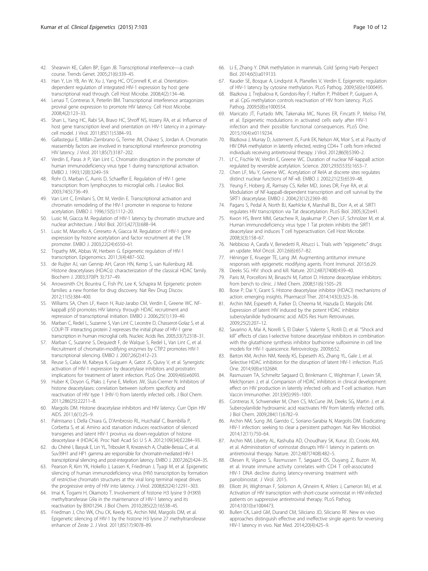- <span id="page-9-0"></span>42. Shearwin KE, Callen BP, Egan JB. Transcriptional interference—a crash course. Trends Genet. 2005;21(6):339–45.
- 43. Han Y, Lin YB, An W, Xu J, Yang HC, O'Connell K, et al. Orientationdependent regulation of integrated HIV-1 expression by host gene transcriptional read through. Cell Host Microbe. 2008;4(2):134–46.
- 44. Lenasi T, Contreras X, Peterlin BM. Transcriptional interference antagonizes proviral gene expression to promote HIV latency. Cell Host Microbe. 2008;4(2):123–33.
- 45. Shan L, Yang HC, Rabi SA, Bravo HC, Shroff NS, Irizarry RA, et al. Influence of host gene transcription level and orientation on HIV-1 latency in a primarycell model. J Virol. 2011;85(11):5384–93.
- 46. Gallastegui E, Millán-Zambrano G, Terme JM, Chávez S, Jordan A. Chromatin reassembly factors are involved in transcriptional interference promoting HIV latency. J Virol. 2011;85(7):3187–202.
- 47. Verdin E, Paras Jr P, Van Lint C. Chromatin disruption in the promoter of human immunodeficiency virus type 1 during transcriptional activation. EMBO J. 1993;12(8):3249–59.
- 48. Rohr O, Marban C, Aunis D, Schaeffer E. Regulation of HIV-1 gene transcription: from lymphocytes to microglial cells. J Leukoc Biol. 2003;74(5):736–49.
- 49. Van Lint C, Emiliani S, Ott M, Verdin E. Transcriptional activation and chromatin remodeling of the HIV-1 promoter in response to histone acetylation. EMBO J. 1996;15(5):1112–20.
- 50. Lusic M, Giacca M. Regulation of HIV-1 latency by chromatin structure and nuclear architecture. J Mol Biol. 2015;427(3):688–94.
- 51. Lusic M, Marcello A, Cereseto A, Giacca M. Regulation of HIV-1 gene expression by histone acetylation and factor recruitment at the LTR promoter. EMBO J. 2003;22(24):6550–61.
- 52. Tripathy MK, Abbas W, Herbein G. Epigenetic regulation of HIV-1 transcription. Epigenomics. 2011;3(4):487–502.
- 53. de Ruijter AJ, van Gennip AH, Caron HN, Kemp S, van Kuilenburg AB. Histone deacetylases (HDACs): characterization of the classical HDAC family. Biochem J. 2003;370(Pt 3):737–49.
- 54. Arrowsmith CH, Bountra C, Fish PV, Lee K, Schapira M. Epigenetic protein families: a new frontier for drug discovery. Nat Rev Drug Discov. 2012;11(5):384–400.
- 55. Williams SA, Chen LF, Kwon H, Ruiz-Jarabo CM, Verdin E, Greene WC. NFkappaB p50 promotes HIV latency through HDAC recruitment and repression of transcriptional initiation. EMBO J. 2006;25(1):139–49.
- 56. Marban C, Redel L, Suzanne S, Van Lint C, Lecestre D, Chasserot-Golaz S, et al. COUP-TF interacting protein 2 represses the initial phase of HIV-1 gene transcription in human microglial cells. Nucleic Acids Res. 2005;33(7):2318–31.
- 57. Marban C, Suzanne S, Dequiedt F, de Walque S, Redel L, Van Lint C, et al. Recruitment of chromatin-modifying enzymes by CTIP2 promotes HIV-1 transcriptional silencing. EMBO J. 2007;26(2):412–23.
- 58. Reuse S, Calao M, Kabeya K, Guiguen A, Gatot JS, Quivy V, et al. Synergistic activation of HIV-1 expression by deacetylase inhibitors and prostratin: implications for treatment of latent infection. PLoS One. 2009;4(6):e6093.
- 59. Huber K, Doyon G, Plaks J, Fyne E, Mellors JW, Sluis-Cremer N. Inhibitors of histone deacetylases: correlation between isoform specificity and reactivation of HIV type 1 (HIV-1) from latently infected cells. J Biol Chem. 2011;286(25):22211–8.
- 60. Margolis DM. Histone deacetylase inhibitors and HIV latency. Curr Opin HIV AIDS. 2011;6(1):25–9.
- 61. Palmisano I, Della Chiara G, D'Ambrosio RL, Huichalaf C, Brambilla P, Corbetta S, et al. Amino acid starvation induces reactivation of silenced transgenes and latent HIV-1 provirus via down-regulation of histone deacetylase 4 (HDAC4). Proc Natl Acad Sci U S A. 2012;109(34):E2284–93.
- 62. du Chéné I, Basyuk E, Lin YL, Triboulet R, Knezevich A, Chable-Bessia C, et al. Suv39H1 and HP1 gamma are responsible for chromatin-mediated HIV-1 transcriptional silencing and post-integration latency. EMBO J. 2007;26(2):424–35.
- 63. Pearson R, Kim YK, Hokello J, Lassen K, Friedman J, Tyagi M, et al. Epigenetic silencing of human immunodeficiency virus (HIV) transcription by formation of restrictive chromatin structures at the viral long terminal repeat drives the progressive entry of HIV into latency. J Virol. 2008;82(24):12291–303.
- 64. Imai K, Togami H, Okamoto T. Involvement of histone H3 lysine 9 (H3K9) methyltransferase G9a in the maintenance of HIV-1 latency and its reactivation by BIX01294. J Biol Chem. 2010;285(22):16538–45.
- 65. Friedman J, Cho WK, Chu CK, Keedy KS, Archin NM, Margolis DM, et al. Epigenetic silencing of HIV-1 by the histone H3 lysine 27 methyltransferase enhancer of Zeste 2. J Virol. 2011;85(17):9078–89.
- 66. Li E, Zhang Y. DNA methylation in mammals. Cold Spring Harb Perspect Biol. 2014;6(5):a019133.
- 67. Kauder SE, Bosque A, Lindqvist A, Planelles V, Verdin E. Epigenetic regulation of HIV-1 latency by cytosine methylation. PLoS Pathog. 2009;5(6):e1000495.
- 68. Blazkova J, Trejbalova K, Gondois-Rey F, Halfon P, Philibert P, Guiguen A, et al. CpG methylation controls reactivation of HIV from latency. PLoS Pathog. 2009;5(8):e1000554.
- 69. Maricato JT, Furtado MN, Takenaka MC, Nunes ER, Fincatti P, Meliso FM, et al. Epigenetic modulations in activated cells early after HIV-1 infection and their possible functional consequences. PLoS One. 2015;10(4):e0119234.
- 70. Blazkova J, Murray D, Justement JS, Funk EK, Nelson AK, Moir S, et al. Paucity of HIV DNA methylation in latently infected, resting CD4+ T cells from infected individuals receiving antiretroviral therapy. J Virol. 2012;86(9):5390–2.
- 71. Lf C, Fischle W, Verdin E, Greene WC. Duration of nuclear NF-kappaB action regulated by reversible acetylation. Science. 2001;293(5535):1653–7.
- 72. Chen LF, Mu Y, Greene WC. Acetylation of RelA at discrete sites regulates distinct nuclear functions of NF-κB. EMBO J. 2002;21(23):6539–48.
- 73. Yeung F, Hoberg JE, Ramsey CS, Keller MD, Jones DR, Frye RA, et al. Modulation of NF-kappaB-dependent transcription and cell survival by the SIRT1 deacetylase. EMBO J. 2004;23(12):2369–80.
- 74. Pagans S, Pedal A, North BJ, Kaehlcke K, Marshall BL, Dorr A, et al. SIRT1 regulates HIV transcription via Tat deacetylation. PLoS Biol. 2005;3(2):e41.
- 75. Kwon HS, Brent MM, Getachew R, Jayakumar P, Chen LF, Schnolzer M, et al. Human immunodeficiency virus type 1 Tat protein inhibits the SIRT1 deacetylase and induces T cell hyperactivation. Cell Host Microbe. 2008;3(3):158–67.
- 76. Nebbioso A, Carafa V, Benedetti R, Altucci L. Trials with "epigenetic" drugs: an update. Mol Oncol. 2012;6(6):657–82.
- 77. Héninger E, Krueger TE, Lang JM. Augmenting antitumor immune responses with epigenetic modifying agents. Front Immunol. 2015;6:29. 78. Deeks SG. HIV: shock and kill. Nature. 2012;487(7408):439–40.
- 79. Paris M, Porcelloni M, Binaschi M, Fattori D. Histone deacetylase inhibitors: from bench to clinic. J Med Chem. 2008;51(6):1505–29.
- 80. Bose P, Dai Y, Grant S. Histone deacetylase inhibitor (HDACI) mechanisms of action: emerging insights. Pharmacol Ther. 2014;143(3):323–36.
- 81. Archin NM, Espeseth A, Parker D, Cheema M, Hazuda D, Margolis DM. Expression of latent HIV induced by the potent HDAC inhibitor suberoylanilide hydroxamic acid. AIDS Res Hum Retroviruses. 2009;25(2):207–12.
- 82. Savarino A, Mai A, Norelli S, El Daker S, Valente S, Rotili D, et al. "Shock and kill" effects of class I-selective histone deacetylase inhibitors in combination with the glutathione synthesis inhibitor buthionine sulfoximine in cell line models for HIV-1 quiescence. Retrovirology. 2009;6:52.
- 83. Barton KM, Archin NM, Keedy KS, Espeseth AS, Zhang YL, Gale J, et al. Selective HDAC inhibition for the disruption of latent HIV-1 infection. PLoS One. 2014;9(8):e102684.
- 84. Rasmussen TA, Schmeltz Søgaard O, Brinkmann C, Wightman F, Lewin SR, Melchjorsen J, et al. Comparison of HDAC inhibitors in clinical development: effect on HIV production in latently infected cells and T-cell activation. Hum Vaccin Immunother. 2013;9(5):993–1001.
- 85. Contreras X, Schweneker M, Chen CS, McCune JM, Deeks SG, Martin J, et al. Suberoylanilide hydroxamic acid reactivates HIV from latently infected cells. J Biol Chem. 2009;284(11):6782–9.
- 86. Archin NM, Sung JM, Garrido C, Soriano-Sarabia N, Margolis DM. Eradicating HIV-1 infection: seeking to clear a persistent pathogen. Nat Rev Microbiol. 2014;12(11):750–64.
- 87. Archin NM, Liberty AL, Kashuba AD, Choudhary SK, Kuruc JD, Crooks AM, et al. Administration of vorinostat disrupts HIV-1 latency in patients on antiretroviral therapy. Nature. 2012;487(7408):482–5.
- 88. Olesen R, Vigano S, Rasmussen T, Søgaard OS, Ouyang Z, Buzon M, et al. Innate immune activity correlates with CD4 T cell-associated HIV-1 DNA decline during latency-reversing treatment with panobinostat. J Virol. 2015.
- 89. Elliott JH, Wightman F, Solomon A, Ghneim K, Ahlers J, Cameron MJ, et al. Activation of HIV transcription with short-course vorinostat in HIV-infected patients on suppressive antiretroviral therapy. PLoS Pathog. 2014;10(10):e1004473.
- 90. Bullen CK, Laird GM, Durand CM, Siliciano JD, Siliciano RF. New ex vivo approaches distinguish effective and ineffective single agents for reversing HIV-1 latency in vivo. Nat Med. 2014;20(4):425–9.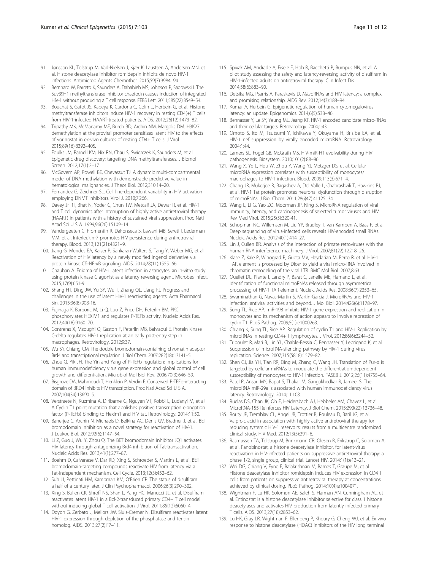- <span id="page-10-0"></span>91. Jønsson KL, Tolstrup M, Vad-Nielsen J, Kjær K, Laustsen A, Andersen MN, et al. Histone deacetylase inhibitor romidepsin inhibits de novo HIV-1 infections. Antimicrob Agents Chemother. 2015;59(7):3984–94.
- 92. Bernhard W, Barreto K, Saunders A, Dahabieh MS, Johnson P, Sadowski I. The Suv39H1 methyltransferase inhibitor chaetocin causes induction of integrated HIV-1 without producing a T cell response. FEBS Lett. 2011;585(22):3549–54.
- 93. Bouchat S, Gatot JS, Kabeya K, Cardona C, Colin L, Herbein G, et al. Histone methyltransferase inhibitors induce HIV-1 recovery in resting CD4(+) T cells from HIV-1-infected HAART-treated patients. AIDS. 2012;26(12):1473–82.
- 94. Tripathy MK, McManamy ME, Burch BD, Archin NM, Margolis DM. H3K27 demethylation at the proviral promoter sensitizes latent HIV to the effects of vorinostat in ex-vivo cultures of resting CD4+ T cells. J Virol. 2015;89(16):8392–405.
- 95. Foulks JM, Parnell KM, Nix RN, Chau S, Swierczek K, Saunders M, et al. Epigenetic drug discovery: targeting DNA methyltransferases. J Biomol Screen. 2012;17(1):2–17.
- 96. McGovern AP, Powell BE, Chevassut TJ. A dynamic multi-compartmental model of DNA methylation with demonstrable predictive value in hematological malignancies. J Theor Biol. 2012;310:14–20.
- 97. Fernandez G, Zeichner SL. Cell line-dependent variability in HIV activation employing DNMT inhibitors. Virol J. 2010;7:266.
- 98. Davey Jr RT, Bhat N, Yoder C, Chun TW, Metcalf JA, Dewar R, et al. HIV-1 and T cell dynamics after interruption of highly active antiretroviral therapy (HAART) in patients with a history of sustained viral suppression. Proc Natl Acad Sci U S A. 1999;96(26):15109–14.
- 99. Vandergeeten C, Fromentin R, DaFonseca S, Lawani MB, Sereti I, Lederman MM, et al. Interleukin-7 promotes HIV persistence during antiretroviral therapy. Blood. 2013;121(21):4321–9.
- 100. Jiang G, Mendes EA, Kaiser P, Sankaran-Walters S, Tang Y, Weber MG, et al. Reactivation of HIV latency by a newly modified ingenol derivative via protein kinase Cδ-NF-κB signaling. AIDS. 2014;28(11):1555–66.
- 101. Chauhan A. Enigma of HIV-1 latent infection in astrocytes: an in-vitro study using protein kinase C agonist as a latency reversing agent. Microbes Infect. 2015;17(9):651-9.
- 102. Shang HT, Ding JW, Yu SY, Wu T, Zhang QL, Liang FJ. Progress and challenges in the use of latent HIV-1 reactivating agents. Acta Pharmacol Sin. 2015;36(8):908-16.
- 103. Fujinaga K, Barboric M, Li Q, Luo Z, Price DH, Peterlin BM. PKC phosphorylates HEXIM1 and regulates P-TEFb activity. Nucleic Acids Res. 2012;40(18):9160–70.
- 104. Contreras X, Mzoughi O, Gaston F, Peterlin MB, Bahraoui E. Protein kinase C-delta regulates HIV-1 replication at an early post-entry step in macrophages. Retrovirology. 2012;9:37.
- 105. Wu SY, Chiang CM. The double bromodomain-containing chromatin adaptor Brd4 and transcriptional regulation. J Biol Chem. 2007;282(18):13141–5.
- 106. Zhou Q, Yik JH. The Yin and Yang of P-TEFb regulation: implications for human immunodeficiency virus gene expression and global control of cell growth and differentiation. Microbiol Mol Biol Rev. 2006;70(3):646–59.
- 107. Bisgrove DA, Mahmoudi T, Henklein P, Verdin E. Conserved P-TEFb-interacting domain of BRD4 inhibits HIV transcription. Proc Natl Acad Sci U S A. 2007;104(34):13690–5.
- 108. Verstraete N, Kuzmina A, Diribarne G, Nguyen VT, Kobbi L, Ludanyi M, et al. A Cyclin T1 point mutation that abolishes positive transcription elongation factor (P-TEFb) binding to Hexim1 and HIV tat. Retrovirology. 2014;11:50.
- 109. Banerjee C, Archin N, Michaels D, Belkina AC, Denis GV, Bradner J, et al. BET bromodomain inhibition as a novel strategy for reactivation of HIV-1. J Leukoc Biol. 2012;92(6):1147–54.
- 110. Li Z, Guo J, Wu Y, Zhou Q. The BET bromodomain inhibitor JQ1 activates HIV latency through antagonizing Brd4 inhibition of Tat-transactivation. Nucleic Acids Res. 2013;41(1):277–87.
- 111. Boehm D, Calvanese V, Dar RD, Xing S, Schroeder S, Martins L, et al. BET bromodomain-targeting compounds reactivate HIV from latency via a Tat-independent mechanism. Cell Cycle. 2013;12(3):452–62.
- 112. Suh JJ, Pettinati HM, Kampman KM, O'Brien CP. The status of disulfiram: a half of a century later. J Clin Psychopharmacol. 2006;26(3):290–302.
- 113. Xing S, Bullen CK, Shroff NS, Shan L, Yang HC, Manucci JL, et al. Disulfiram reactivates latent HIV-1 in a Bcl-2-transduced primary CD4+ T cell model without inducing global T cell activation. J Virol. 2011;85(12):6060–4.
- 114. Doyon G, Zerbato J, Mellors JW, Sluis-Cremer N. Disulfiram reactivates latent HIV-1 expression through depletion of the phosphatase and tensin homolog. AIDS. 2013;27(2):F7–11.
- 115. Spivak AM, Andrade A, Eisele E, Hoh R, Bacchetti P, Bumpus NN, et al. A pilot study assessing the safety and latency-reversing activity of disulfiram in HIV-1-infected adults on antiretroviral therapy. Clin Infect Dis. 2014;58(6):883–90.
- 116. Detsika MG, Psarris A, Paraskevis D. MicroRNAs and HIV latency: a complex and promising relationship. AIDS Rev. 2012;14(3):188–94.
- 117. Kumar A, Herbein G. Epigenetic regulation of human cytomegalovirus latency: an update. Epigenomics. 2014;6(5):533–46.
- 118. Bennasser Y, Le SY, Yeung ML, Jeang KT. HIV-1 encoded candidate micro-RNAs and their cellular targets. Retrovirology. 2004;1:43.
- 119. Omoto S, Ito M, Tsutsumi Y, Ichikawa Y, Okuyama H, Brisibe EA, et al. HIV-1 nef suppression by virally encoded microRNA. Retrovirology. 2004;1:44.
- 120. Lamers SL, Fogel GB, McGrath MS. HIV-miR-H1 evolvability during HIV pathogenesis. Biosystem. 2010;101(2):88–96.
- 121. Wang X, Ye L, Hou W, Zhou Y, Wang YJ, Metzger DS, et al. Cellular microRNA expression correlates with susceptibility of monocytes/ macrophages to HIV-1 infection. Blood. 2009;113(3):671–4.
- 122. Chang JR, Mukerjee R, Bagashev A, Del Valle L, Chabrashvili T, Hawkins BJ, et al. HIV-1 Tat protein promotes neuronal dysfunction through disruption of microRNAs. J Biol Chem. 2011;286(47):41125–34.
- 123. Wang L, Li G, Yao ZQ, Moorman JP, Ning S. MicroRNA regulation of viral immunity, latency, and carcinogenesis of selected tumor viruses and HIV. Rev Med Virol. 2015;25(5):320-41.
- 124. Schopman NC, Willemsen M, Liu YP, Bradley T, van Kampen A, Baas F, et al. Deep sequencing of virus-infected cells reveals HIV-encoded small RNAs. Nucleic Acids Res. 2012;40(1):414–27.
- 125. Lin J, Cullen BR. Analysis of the interaction of primate retroviruses with the human RNA interference machinery. J Virol. 2007;81(22):12218–26.
- 126. Klase Z, Kale P, Winograd R, Gupta MV, Heydarian M, Berro R, et al. HIV-1 TAR element is processed by Dicer to yield a viral micro-RNA involved in chromatin remodeling of the viral LTR. BMC Mol Biol. 2007;8:63.
- 127. Ouellet DL, Plante I, Landry P, Barat C, Janelle ME, Flamand L, et al. Identification of functional microRNAs released through asymmetrical processing of HIV-1 TAR element. Nucleic Acids Res. 2008;36(7):2353–65.
- 128. Swaminathan G, Navas-Martín S, Martín-García J. MicroRNAs and HIV-1 infection: antiviral activities and beyond. J Mol Biol. 2014;426(6):1178–97.
- 129. Sung TL, Rice AP. miR-198 inhibits HIV-1 gene expression and replication in monocytes and its mechanism of action appears to involve repression of cyclin T1. PLoS Pathog. 2009;5(1):e1000263.
- 130. Chiang K, Sung TL, Rice AP. Regulation of cyclin T1 and HIV-1 Replication by microRNAs in resting CD4+ T lymphocytes. J Virol. 2012;86(6):3244–52.
- 131. Triboulet R, Mari B, Lin YL, Chable-Bessia C, Bennasser Y, Lebrigand K, et al. Suppression of microRNA-silencing pathway by HIV-1 during virus replication. Science. 2007;315(5818):1579–82.
- 132. Shen CJ, Jia YH, Tian RR, Ding M, Zhang C, Wang JH. Translation of Pur-α is targeted by cellular miRNAs to modulate the differentiation-dependent susceptibility of monocytes to HIV-1 infection. FASEB J. 2012;26(11):4755–64.
- 133. Patel P, Ansari MY, Bapat S, Thakar M, Gangakhedkar R, Jameel S. The microRNA miR-29a is associated with human immunodeficiency virus latency. Retrovirology. 2014;11:108.
- 134. Ruelas DS, Chan JK, Oh E, Heidersbach AJ, Hebbeler AM, Chavez L, et al. MicroRNA-155 Reinforces HIV Latency. J Biol Chem. 2015;290(22):13736–48.
- 135. Routy JP, Tremblay CL, Angel JB, Trottier B, Rouleau D, Baril JG, et al. Valproic acid in association with highly active antiretroviral therapy for reducing systemic HIV-1 reservoirs: results from a multicentre randomized clinical study. HIV Med. 2012;13(5):291–6.
- 136. Rasmussen TA, Tolstrup M, Brinkmann CR, Olesen R, Erikstrup C, Solomon A, et al. Panobinostat, a histone deacetylase inhibitor, for latent-virus reactivation in HIV-infected patients on suppressive antiretroviral therapy: a phase 1/2, single group, clinical trial. Lancet HIV. 2014;1(1):e13–21.
- 137. Wei DG, Chiang V, Fyne E, Balakrishnan M, Barnes T, Graupe M, et al. Histone deacetylase inhibitor romidepsin induces HIV expression in CD4 T cells from patients on suppressive antiretroviral therapy at concentrations achieved by clinical dosing. PLoS Pathog. 2014;10(4):e1004071.
- 138. Wightman F, Lu HK, Solomon AE, Saleh S, Harman AN, Cunningham AL, et al. Entinostat is a histone deacetylase inhibitor selective for class 1 histone deacetylases and activates HIV production from latently infected primary T cells. AIDS. 2013;27(18):2853–62.
- 139. Lu HK, Gray LR, Wightman F, Ellenberg P, Khoury G, Cheng WJ, et al. Ex vivo response to histone deacetylase (HDAC) inhibitors of the HIV long terminal